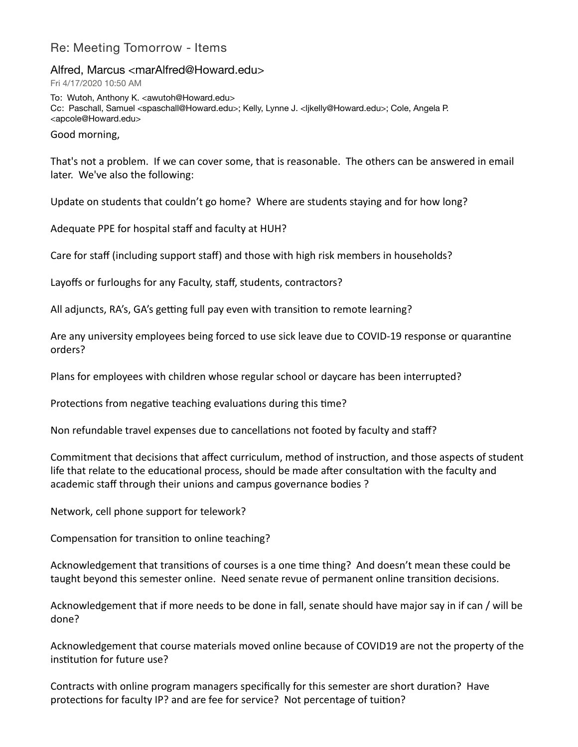## Re: Meeting Tomorrow - Items

Alfred, Marcus <marAlfred@Howard.edu>

Fri 4/17/2020 10:50 AM

To: Wutoh, Anthony K. <awutoh@Howard.edu> Cc: Paschall, Samuel <spaschall@Howard.edu>; Kelly, Lynne J. <ljkelly@Howard.edu>; Cole, Angela P. <apcole@Howard.edu>

Good morning,

That's not a problem. If we can cover some, that is reasonable. The others can be answered in email later. We've also the following:

Update on students that couldn't go home? Where are students staying and for how long?

Adequate PPE for hospital staff and faculty at HUH?

Care for staff (including support staff) and those with high risk members in households?

Layoffs or furloughs for any Faculty, staff, students, contractors?

All adjuncts, RA's, GA's getting full pay even with transition to remote learning?

Are any university employees being forced to use sick leave due to COVID-19 response or quarantine orders?

Plans for employees with children whose regular school or daycare has been interrupted?

Protections from negative teaching evaluations during this time?

Non refundable travel expenses due to cancellations not footed by faculty and staff?

Commitment that decisions that affect curriculum, method of instruction, and those aspects of student life that relate to the educational process, should be made after consultation with the faculty and academic staff through their unions and campus governance bodies ?

Network, cell phone support for telework?

Compensation for transition to online teaching?

Acknowledgement that transitions of courses is a one time thing? And doesn't mean these could be taught beyond this semester online. Need senate revue of permanent online transition decisions.

Acknowledgement that if more needs to be done in fall, senate should have major say in if can / will be done?

Acknowledgement that course materials moved online because of COVID19 are not the property of the institution for future use?

Contracts with online program managers specifically for this semester are short duration? Have protections for faculty IP? and are fee for service? Not percentage of tuition?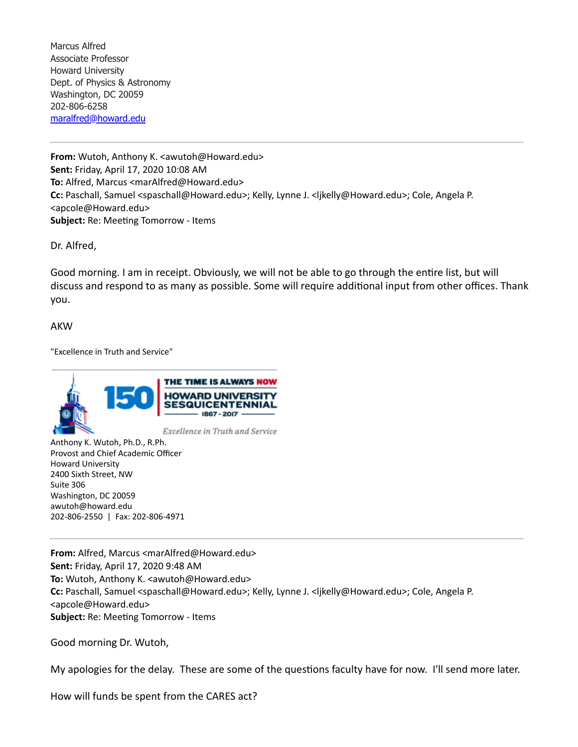Marcus Alfred Associate Professor Howard University Dept. of Physics & Astronomy Washington, DC 20059 202-806-6258 [maralfred@howard.edu](mailto:maralfred@howard.edu)

**From:** Wutoh, Anthony K. <awutoh@Howard.edu> **Sent:** Friday, April 17, 2020 10:08 AM **To:** Alfred, Marcus <marAlfred@Howard.edu> **Cc:** Paschall, Samuel <spaschall@Howard.edu>; Kelly, Lynne J. <ljkelly@Howard.edu>; Cole, Angela P. <apcole@Howard.edu> **Subject:** Re: Meeting Tomorrow - Items

Dr. Alfred,

Good morning. I am in receipt. Obviously, we will not be able to go through the entire list, but will discuss and respond to as many as possible. Some will require additional input from other offices. Thank you.

AKW

"Excellence in Truth and Service"



Anthony K. Wutoh, Ph.D., R.Ph. Provost and Chief Academic Officer Howard University 2400 Sixth Street, NW Suite 306 Washington, DC 20059 awutoh@howard.edu 202-806-2550 | Fax: 202-806-4971

**From:** Alfred, Marcus <marAlfred@Howard.edu> **Sent:** Friday, April 17, 2020 9:48 AM **To:** Wutoh, Anthony K. <awutoh@Howard.edu> **Cc:** Paschall, Samuel <spaschall@Howard.edu>; Kelly, Lynne J. <ljkelly@Howard.edu>; Cole, Angela P. <apcole@Howard.edu> **Subject:** Re: Meeting Tomorrow - Items

Good morning Dr. Wutoh,

My apologies for the delay. These are some of the questions faculty have for now. I'll send more later.

How will funds be spent from the CARES act?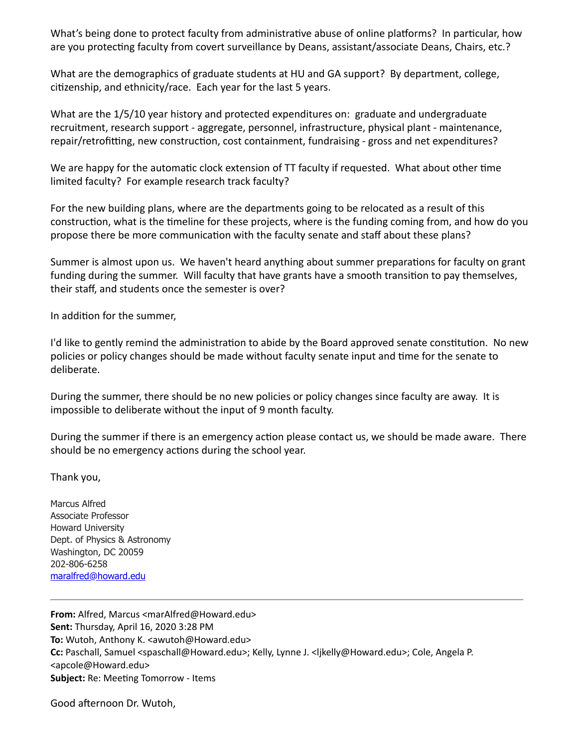What's being done to protect faculty from administrative abuse of online platforms? In particular, how are you protecting faculty from covert surveillance by Deans, assistant/associate Deans, Chairs, etc.?

What are the demographics of graduate students at HU and GA support? By department, college, citizenship, and ethnicity/race. Each year for the last 5 years.

What are the 1/5/10 year history and protected expenditures on: graduate and undergraduate recruitment, research support - aggregate, personnel, infrastructure, physical plant - maintenance, repair/retrofitting, new construction, cost containment, fundraising - gross and net expenditures?

We are happy for the automatic clock extension of TT faculty if requested. What about other time limited faculty? For example research track faculty?

For the new building plans, where are the departments going to be relocated as a result of this construction, what is the timeline for these projects, where is the funding coming from, and how do you propose there be more communication with the faculty senate and staff about these plans?

Summer is almost upon us. We haven't heard anything about summer preparations for faculty on grant funding during the summer. Will faculty that have grants have a smooth transition to pay themselves, their staff, and students once the semester is over?

In addition for the summer,

I'd like to gently remind the administration to abide by the Board approved senate constitution. No new policies or policy changes should be made without faculty senate input and time for the senate to deliberate.

During the summer, there should be no new policies or policy changes since faculty are away. It is impossible to deliberate without the input of 9 month faculty.

During the summer if there is an emergency action please contact us, we should be made aware. There should be no emergency actions during the school year.

Thank you,

Marcus Alfred Associate Professor Howard University Dept. of Physics & Astronomy Washington, DC 20059 202-806-6258 [maralfred@howard.edu](mailto:maralfred@howard.edu)

**From:** Alfred, Marcus <marAlfred@Howard.edu> **Sent:** Thursday, April 16, 2020 3:28 PM **To:** Wutoh, Anthony K. <awutoh@Howard.edu> **Cc:** Paschall, Samuel <spaschall@Howard.edu>; Kelly, Lynne J. <ljkelly@Howard.edu>; Cole, Angela P. <apcole@Howard.edu> **Subject:** Re: Meeting Tomorrow - Items

Good afternoon Dr. Wutoh,